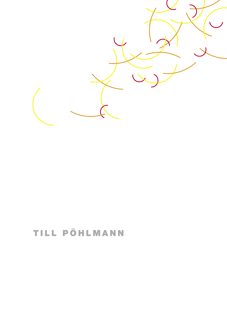

## TILL PÖHLMANN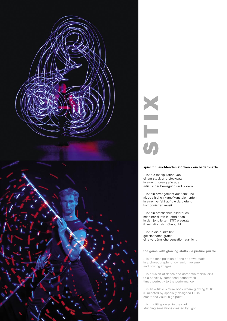

# N<br>S T V

### spiel mit leuchtenden stöcken - ein bilderpuzzle

...ist die manipulation von einem stock und stockpaar in einer choreografie aus artistischer bewegung und bildern

...ist ein arrangement aus tanz und akrobatischen kampfkunstelementen in einer perfekt auf die darbietung komponierten musik

...ist ein artistisches bilderbuch mit einer durch leuchtdioden in den jonglierten STIX erzeugten illumination als höhepunkt

...ist in die dunkelheit gezeichnetes graffiti eine vergängliche sensation aus licht

the game with glowing staffs - a picture puzzle

...is the manipulation of one and two staffs in a choreography of dynamic movement and flowing images

...is a fusion of dance and acrobatic martial arts to a specially composed soundtrack timed perfectly to the performance

...is an artistic picture book where glowing STIX illuminated by specially designed LEDs create the visual high point

...is graffiti sprayed in the dark stunning sensations created by light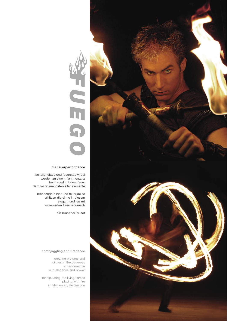

# S<br>H Щ

### die feuerperformance

fackeljonglage und feuerstabwirbel werden zu einem flammentanz beim spiel mit dem feuer dem faszinierendsten aller elemente

brennende bilder und feuerkreise erhitzen die sinne in diesem elegant und rasant inszenierten flammenrausch

ein brandheißer act

### torchjuggling and firedance

creating pictures and circles in the darkness a performance with elegance and power

manipulating the living flames playing with fire an elementary fascination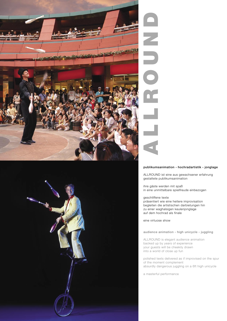



## A L L R O U N D E

### publikumsanimation - hochradartistik - jonglage

ALLROUND ist eine aus gewachsener erfahrung gestaltete publikumsanimation

ihre gäste werden mit spaß in eine unmittelbare spielfreude einbezogen

### geschliffene texte

präsentiert wie eine heitere improvisation begleiten die artistischen darbietungen hin zu einer waghalsigen keulenjonglage auf dem hochrad als finale

eine virtuose show

### audience animation - high unicycle - juggling

ALLROUND is elegant audience animation backed up by years of experience your guests will be cheekily drawn into a world of close up fun

polished texts delivered as if improvised on the spur of the moment complement absurdly dangerous juggling on a 6ft high unicycle

a masterful performance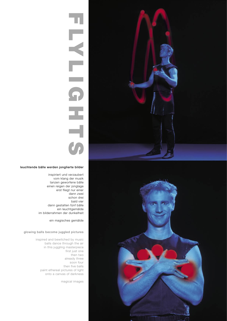

### leuchtende bälle werden jonglierte bilder

inspiriert und verzaubert vom klang der musik tanzen geworfene bälle einen reigen der jonglage erst fliegt nur einer dann zwei schon drei bald vier dann gestalten fünf bälle ein leuchtgemälde im bilderrahmen der dunkelheit

### ein magisches gemälde

### glowing balls become juggled pictures

inspired and bewitched by music balls dance through the air in this juggling masterpiece first just one then two already three soon four then five balls paint ethereal pictures of light onto a canvas of darkness

magical images